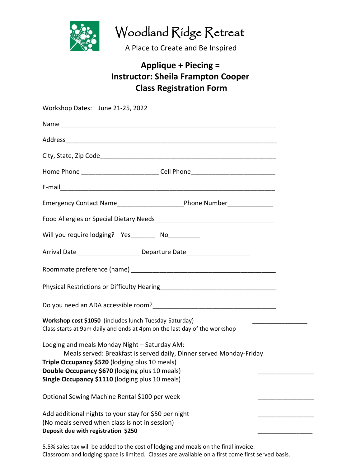

Woodland Ridge Retreat

A Place to Create and Be Inspired

## **Applique + Piecing = Instructor: Sheila Frampton Cooper Class Registration Form**

| Home Phone ________________________________Cell Phone___________________________<br>Will you require lodging? Yes_________ No__________<br>Arrival Date______________________Departure Date________________________________<br>Workshop cost \$1050 (includes lunch Tuesday-Saturday)<br>Class starts at 9am daily and ends at 4pm on the last day of the workshop<br>Lodging and meals Monday Night - Saturday AM:<br>Meals served: Breakfast is served daily, Dinner served Monday-Friday<br>Triple Occupancy \$520 (lodging plus 10 meals)<br>Double Occupancy \$670 (lodging plus 10 meals)<br>Single Occupancy \$1110 (lodging plus 10 meals)<br>Optional Sewing Machine Rental \$100 per week<br>Add additional nights to your stay for \$50 per night<br>(No meals served when class is not in session) | Workshop Dates: June 21-25, 2022 |
|----------------------------------------------------------------------------------------------------------------------------------------------------------------------------------------------------------------------------------------------------------------------------------------------------------------------------------------------------------------------------------------------------------------------------------------------------------------------------------------------------------------------------------------------------------------------------------------------------------------------------------------------------------------------------------------------------------------------------------------------------------------------------------------------------------------|----------------------------------|
|                                                                                                                                                                                                                                                                                                                                                                                                                                                                                                                                                                                                                                                                                                                                                                                                                |                                  |
|                                                                                                                                                                                                                                                                                                                                                                                                                                                                                                                                                                                                                                                                                                                                                                                                                |                                  |
|                                                                                                                                                                                                                                                                                                                                                                                                                                                                                                                                                                                                                                                                                                                                                                                                                |                                  |
|                                                                                                                                                                                                                                                                                                                                                                                                                                                                                                                                                                                                                                                                                                                                                                                                                |                                  |
|                                                                                                                                                                                                                                                                                                                                                                                                                                                                                                                                                                                                                                                                                                                                                                                                                |                                  |
|                                                                                                                                                                                                                                                                                                                                                                                                                                                                                                                                                                                                                                                                                                                                                                                                                |                                  |
|                                                                                                                                                                                                                                                                                                                                                                                                                                                                                                                                                                                                                                                                                                                                                                                                                |                                  |
|                                                                                                                                                                                                                                                                                                                                                                                                                                                                                                                                                                                                                                                                                                                                                                                                                |                                  |
|                                                                                                                                                                                                                                                                                                                                                                                                                                                                                                                                                                                                                                                                                                                                                                                                                |                                  |
|                                                                                                                                                                                                                                                                                                                                                                                                                                                                                                                                                                                                                                                                                                                                                                                                                |                                  |
|                                                                                                                                                                                                                                                                                                                                                                                                                                                                                                                                                                                                                                                                                                                                                                                                                |                                  |
|                                                                                                                                                                                                                                                                                                                                                                                                                                                                                                                                                                                                                                                                                                                                                                                                                |                                  |
|                                                                                                                                                                                                                                                                                                                                                                                                                                                                                                                                                                                                                                                                                                                                                                                                                |                                  |
|                                                                                                                                                                                                                                                                                                                                                                                                                                                                                                                                                                                                                                                                                                                                                                                                                |                                  |
|                                                                                                                                                                                                                                                                                                                                                                                                                                                                                                                                                                                                                                                                                                                                                                                                                |                                  |
|                                                                                                                                                                                                                                                                                                                                                                                                                                                                                                                                                                                                                                                                                                                                                                                                                |                                  |
|                                                                                                                                                                                                                                                                                                                                                                                                                                                                                                                                                                                                                                                                                                                                                                                                                |                                  |
| Deposit due with registration \$250                                                                                                                                                                                                                                                                                                                                                                                                                                                                                                                                                                                                                                                                                                                                                                            |                                  |

5.5% sales tax will be added to the cost of lodging and meals on the final invoice. Classroom and lodging space is limited. Classes are available on a first come first served basis.